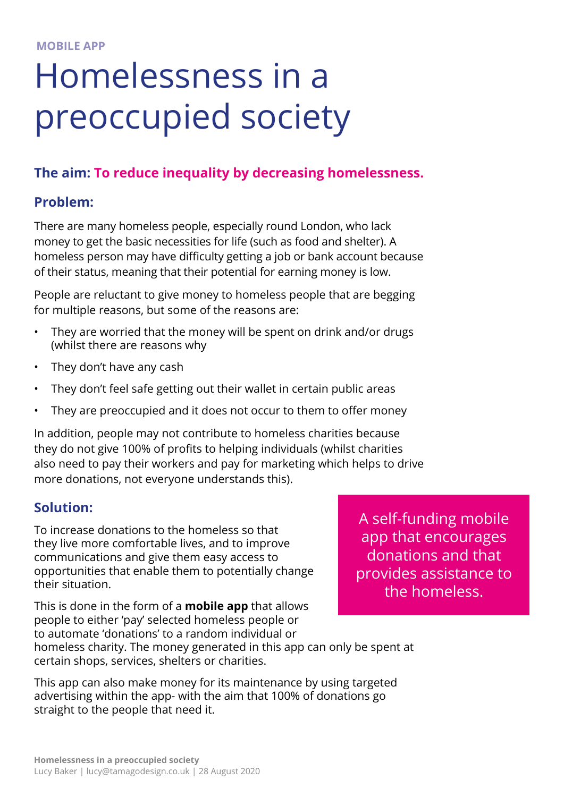# Homelessness in a preoccupied society

## **The aim: To reduce inequality by decreasing homelessness.**

#### **Problem:**

There are many homeless people, especially round London, who lack money to get the basic necessities for life (such as food and shelter). A homeless person may have difficulty getting a job or bank account because of their status, meaning that their potential for earning money is low.

People are reluctant to give money to homeless people that are begging for multiple reasons, but some of the reasons are:

- They are worried that the money will be spent on drink and/or drugs (whilst there are reasons why
- They don't have any cash
- They don't feel safe getting out their wallet in certain public areas
- They are preoccupied and it does not occur to them to offer money

In addition, people may not contribute to homeless charities because they do not give 100% of profits to helping individuals (whilst charities also need to pay their workers and pay for marketing which helps to drive more donations, not everyone understands this).

#### **Solution:**

To increase donations to the homeless so that they live more comfortable lives, and to improve communications and give them easy access to opportunities that enable them to potentially change their situation.

A self-funding mobile app that encourages donations and that provides assistance to the homeless.

This is done in the form of a **mobile app** that allows people to either 'pay' selected homeless people or to automate 'donations' to a random individual or homeless charity. The money generated in this app can only be spent at certain shops, services, shelters or charities.

This app can also make money for its maintenance by using targeted advertising within the app- with the aim that 100% of donations go straight to the people that need it.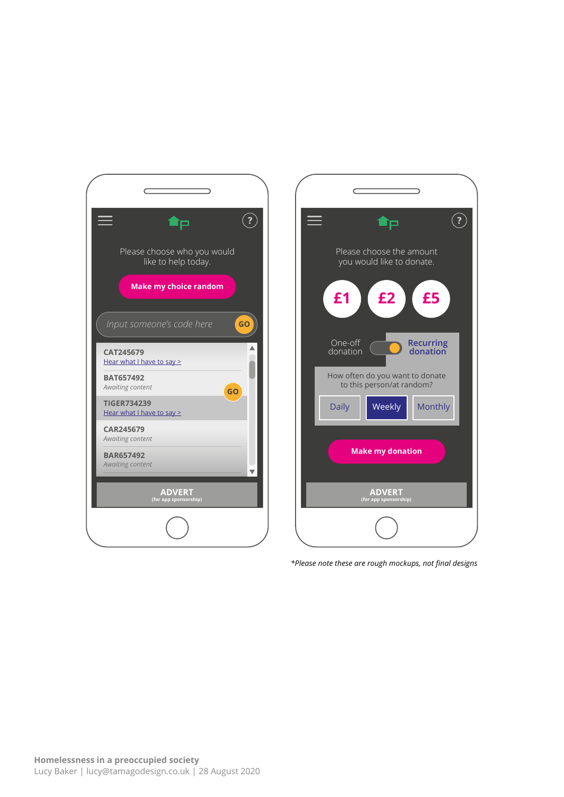



*\*Please note these are rough mockups, not final designs*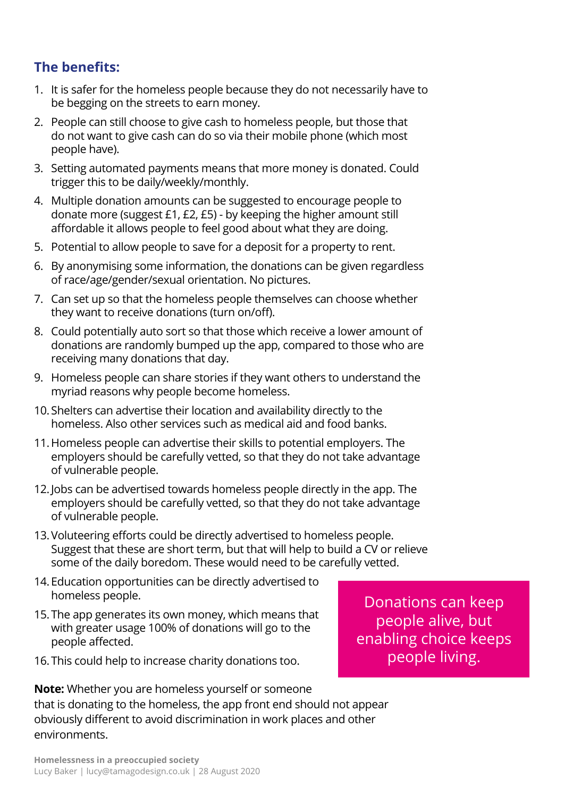## **The benefits:**

- 1. It is safer for the homeless people because they do not necessarily have to be begging on the streets to earn money.
- 2. People can still choose to give cash to homeless people, but those that do not want to give cash can do so via their mobile phone (which most people have).
- 3. Setting automated payments means that more money is donated. Could trigger this to be daily/weekly/monthly.
- 4. Multiple donation amounts can be suggested to encourage people to donate more (suggest £1, £2, £5) - by keeping the higher amount still affordable it allows people to feel good about what they are doing.
- 5. Potential to allow people to save for a deposit for a property to rent.
- 6. By anonymising some information, the donations can be given regardless of race/age/gender/sexual orientation. No pictures.
- 7. Can set up so that the homeless people themselves can choose whether they want to receive donations (turn on/off).
- 8. Could potentially auto sort so that those which receive a lower amount of donations are randomly bumped up the app, compared to those who are receiving many donations that day.
- 9. Homeless people can share stories if they want others to understand the myriad reasons why people become homeless.
- 10.Shelters can advertise their location and availability directly to the homeless. Also other services such as medical aid and food banks.
- 11.Homeless people can advertise their skills to potential employers. The employers should be carefully vetted, so that they do not take advantage of vulnerable people.
- 12.Jobs can be advertised towards homeless people directly in the app. The employers should be carefully vetted, so that they do not take advantage of vulnerable people.
- 13.Voluteering efforts could be directly advertised to homeless people. Suggest that these are short term, but that will help to build a CV or relieve some of the daily boredom. These would need to be carefully vetted.
- 14.Education opportunities can be directly advertised to homeless people.
- 15.The app generates its own money, which means that with greater usage 100% of donations will go to the people affected.
- 16.This could help to increase charity donations too.

Donations can keep people alive, but enabling choice keeps people living.

**Note:** Whether you are homeless yourself or someone that is donating to the homeless, the app front end should not appear obviously different to avoid discrimination in work places and other environments.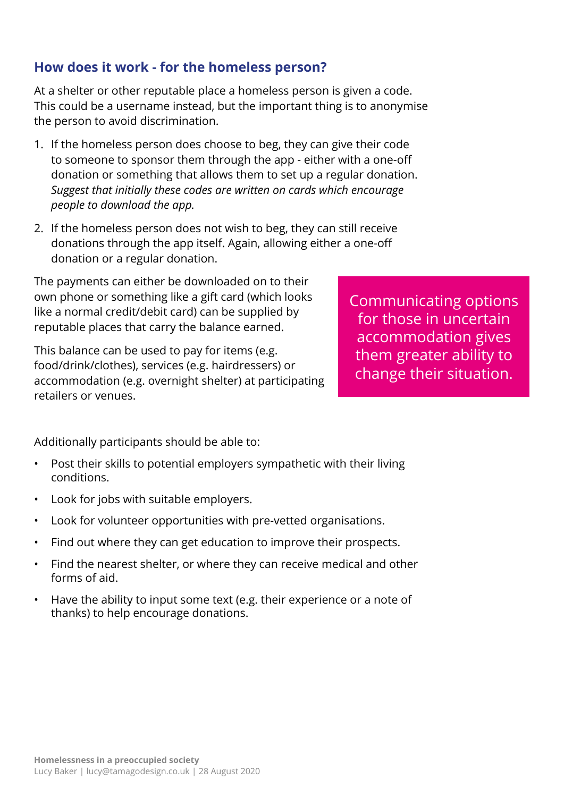# **Homelessness in a preoccupied society** Lucy Baker | lucy@tamagodesign.co.uk | 28 August 2020

# **How does it work - for the homeless person?**

At a shelter or other reputable place a homeless person is given a code. This could be a username instead, but the important thing is to anonymise the person to avoid discrimination.

- 1. If the homeless person does choose to beg, they can give their code to someone to sponsor them through the app - either with a one-off donation or something that allows them to set up a regular donation. *Suggest that initially these codes are written on cards which encourage people to download the app.*
- 2. If the homeless person does not wish to beg, they can still receive donations through the app itself. Again, allowing either a one-off donation or a regular donation.

The payments can either be downloaded on to their own phone or something like a gift card (which looks like a normal credit/debit card) can be supplied by reputable places that carry the balance earned.

This balance can be used to pay for items (e.g. food/drink/clothes), services (e.g. hairdressers) or accommodation (e.g. overnight shelter) at participating retailers or venues.

Communicating options for those in uncertain accommodation gives them greater ability to change their situation.

Additionally participants should be able to:

- Post their skills to potential employers sympathetic with their living conditions.
- Look for jobs with suitable employers.
- Look for volunteer opportunities with pre-vetted organisations.
- Find out where they can get education to improve their prospects.
- Find the nearest shelter, or where they can receive medical and other forms of aid.
- Have the ability to input some text (e.g. their experience or a note of thanks) to help encourage donations.